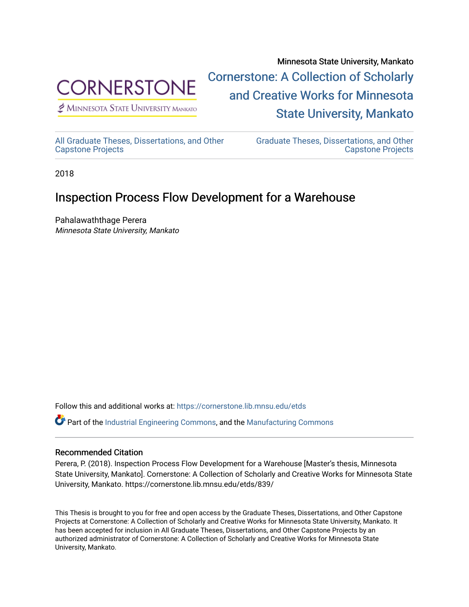

 $<sup>2</sup>$  Minnesota State University Mankato</sup>

Minnesota State University, Mankato [Cornerstone: A Collection of Scholarly](https://cornerstone.lib.mnsu.edu/)  [and Creative Works for Minnesota](https://cornerstone.lib.mnsu.edu/)  [State University, Mankato](https://cornerstone.lib.mnsu.edu/) 

[All Graduate Theses, Dissertations, and Other](https://cornerstone.lib.mnsu.edu/etds)  [Capstone Projects](https://cornerstone.lib.mnsu.edu/etds) 

[Graduate Theses, Dissertations, and Other](https://cornerstone.lib.mnsu.edu/theses_dissertations-capstone)  [Capstone Projects](https://cornerstone.lib.mnsu.edu/theses_dissertations-capstone) 

2018

## Inspection Process Flow Development for a Warehouse

Pahalawaththage Perera Minnesota State University, Mankato

Follow this and additional works at: [https://cornerstone.lib.mnsu.edu/etds](https://cornerstone.lib.mnsu.edu/etds?utm_source=cornerstone.lib.mnsu.edu%2Fetds%2F839&utm_medium=PDF&utm_campaign=PDFCoverPages) 

Part of the [Industrial Engineering Commons](http://network.bepress.com/hgg/discipline/307?utm_source=cornerstone.lib.mnsu.edu%2Fetds%2F839&utm_medium=PDF&utm_campaign=PDFCoverPages), and the [Manufacturing Commons](http://network.bepress.com/hgg/discipline/301?utm_source=cornerstone.lib.mnsu.edu%2Fetds%2F839&utm_medium=PDF&utm_campaign=PDFCoverPages) 

### Recommended Citation

Perera, P. (2018). Inspection Process Flow Development for a Warehouse [Master's thesis, Minnesota State University, Mankato]. Cornerstone: A Collection of Scholarly and Creative Works for Minnesota State University, Mankato. https://cornerstone.lib.mnsu.edu/etds/839/

This Thesis is brought to you for free and open access by the Graduate Theses, Dissertations, and Other Capstone Projects at Cornerstone: A Collection of Scholarly and Creative Works for Minnesota State University, Mankato. It has been accepted for inclusion in All Graduate Theses, Dissertations, and Other Capstone Projects by an authorized administrator of Cornerstone: A Collection of Scholarly and Creative Works for Minnesota State University, Mankato.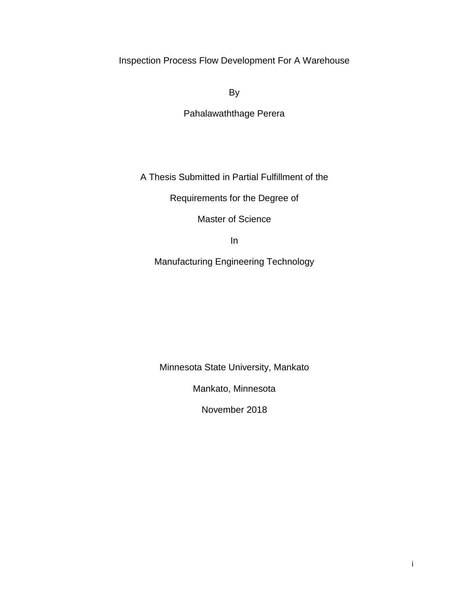## Inspection Process Flow Development For A Warehouse

By

Pahalawaththage Perera

A Thesis Submitted in Partial Fulfillment of the

Requirements for the Degree of

Master of Science

In

Manufacturing Engineering Technology

Minnesota State University, Mankato

Mankato, Minnesota

<span id="page-1-0"></span>November 2018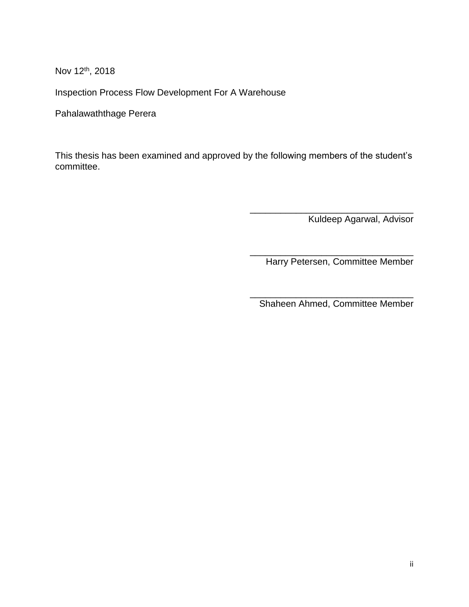Nov 12th, 2018

Inspection Process Flow Development For A Warehouse

Pahalawaththage Perera

This thesis has been examined and approved by the following members of the student's committee.

Kuldeep Agarwal, Advisor

Harry Petersen, Committee Member

\_\_\_\_\_\_\_\_\_\_\_\_\_\_\_\_\_\_\_\_\_\_\_\_\_\_\_\_\_\_\_\_

\_\_\_\_\_\_\_\_\_\_\_\_\_\_\_\_\_\_\_\_\_\_\_\_\_\_\_\_\_\_\_\_

\_\_\_\_\_\_\_\_\_\_\_\_\_\_\_\_\_\_\_\_\_\_\_\_\_\_\_\_\_\_\_\_ Shaheen Ahmed, Committee Member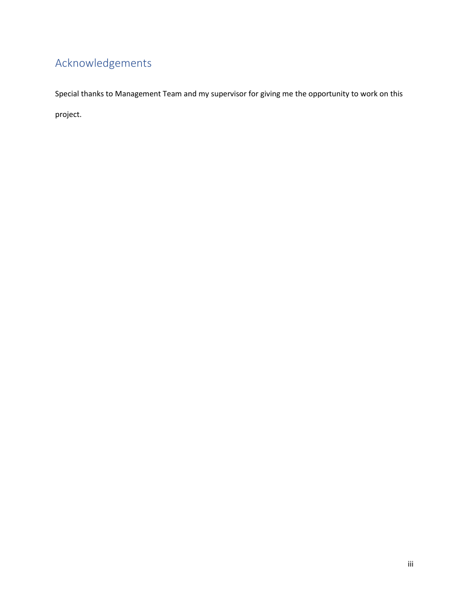# Acknowledgements

Special thanks to Management Team and my supervisor for giving me the opportunity to work on this

project.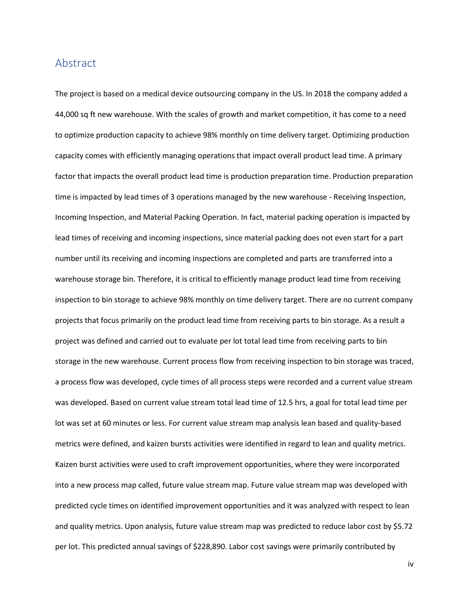## Abstract

The project is based on a medical device outsourcing company in the US. In 2018 the company added a 44,000 sq ft new warehouse. With the scales of growth and market competition, it has come to a need to optimize production capacity to achieve 98% monthly on time delivery target. Optimizing production capacity comes with efficiently managing operations that impact overall product lead time. A primary factor that impacts the overall product lead time is production preparation time. Production preparation time is impacted by lead times of 3 operations managed by the new warehouse - Receiving Inspection, Incoming Inspection, and Material Packing Operation. In fact, material packing operation is impacted by lead times of receiving and incoming inspections, since material packing does not even start for a part number until its receiving and incoming inspections are completed and parts are transferred into a warehouse storage bin. Therefore, it is critical to efficiently manage product lead time from receiving inspection to bin storage to achieve 98% monthly on time delivery target. There are no current company projects that focus primarily on the product lead time from receiving parts to bin storage. As a result a project was defined and carried out to evaluate per lot total lead time from receiving parts to bin storage in the new warehouse. Current process flow from receiving inspection to bin storage was traced, a process flow was developed, cycle times of all process steps were recorded and a current value stream was developed. Based on current value stream total lead time of 12.5 hrs, a goal for total lead time per lot was set at 60 minutes or less. For current value stream map analysis lean based and quality-based metrics were defined, and kaizen bursts activities were identified in regard to lean and quality metrics. Kaizen burst activities were used to craft improvement opportunities, where they were incorporated into a new process map called, future value stream map. Future value stream map was developed with predicted cycle times on identified improvement opportunities and it was analyzed with respect to lean and quality metrics. Upon analysis, future value stream map was predicted to reduce labor cost by \$5.72 per lot. This predicted annual savings of \$228,890. Labor cost savings were primarily contributed by

iv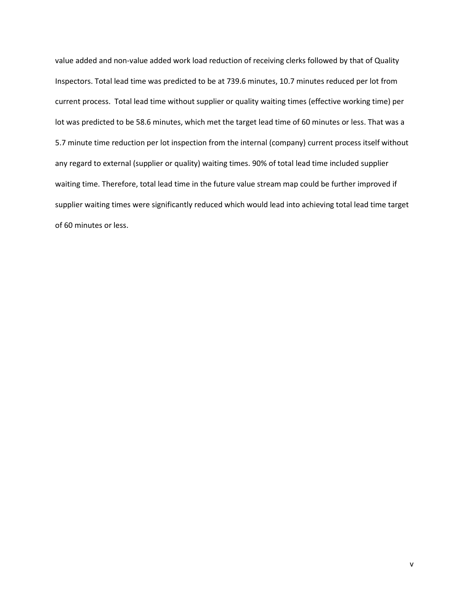value added and non-value added work load reduction of receiving clerks followed by that of Quality Inspectors. Total lead time was predicted to be at 739.6 minutes, 10.7 minutes reduced per lot from current process. Total lead time without supplier or quality waiting times (effective working time) per lot was predicted to be 58.6 minutes, which met the target lead time of 60 minutes or less. That was a 5.7 minute time reduction per lot inspection from the internal (company) current process itself without any regard to external (supplier or quality) waiting times. 90% of total lead time included supplier waiting time. Therefore, total lead time in the future value stream map could be further improved if supplier waiting times were significantly reduced which would lead into achieving total lead time target of 60 minutes or less.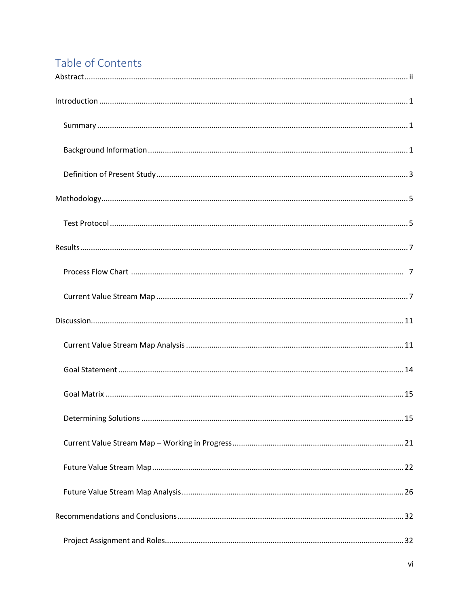# Table of Contents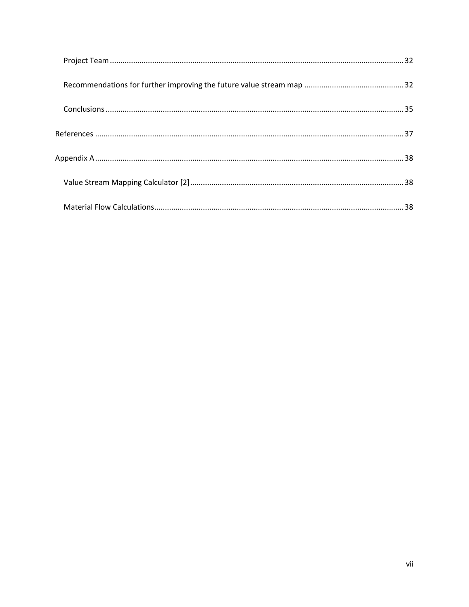<span id="page-7-0"></span>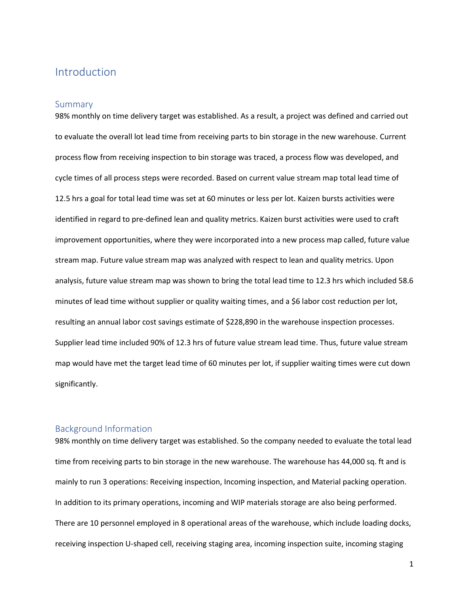## **Introduction**

#### <span id="page-8-0"></span>**Summary**

98% monthly on time delivery target was established. As a result, a project was defined and carried out to evaluate the overall lot lead time from receiving parts to bin storage in the new warehouse. Current process flow from receiving inspection to bin storage was traced, a process flow was developed, and cycle times of all process steps were recorded. Based on current value stream map total lead time of 12.5 hrs a goal for total lead time was set at 60 minutes or less per lot. Kaizen bursts activities were identified in regard to pre-defined lean and quality metrics. Kaizen burst activities were used to craft improvement opportunities, where they were incorporated into a new process map called, future value stream map. Future value stream map was analyzed with respect to lean and quality metrics. Upon analysis, future value stream map was shown to bring the total lead time to 12.3 hrs which included 58.6 minutes of lead time without supplier or quality waiting times, and a \$6 labor cost reduction per lot, resulting an annual labor cost savings estimate of \$228,890 in the warehouse inspection processes. Supplier lead time included 90% of 12.3 hrs of future value stream lead time. Thus, future value stream map would have met the target lead time of 60 minutes per lot, if supplier waiting times were cut down significantly.

## <span id="page-8-1"></span>Background Information

98% monthly on time delivery target was established. So the company needed to evaluate the total lead time from receiving parts to bin storage in the new warehouse. The warehouse has 44,000 sq. ft and is mainly to run 3 operations: Receiving inspection, Incoming inspection, and Material packing operation. In addition to its primary operations, incoming and WIP materials storage are also being performed. There are 10 personnel employed in 8 operational areas of the warehouse, which include loading docks, receiving inspection U-shaped cell, receiving staging area, incoming inspection suite, incoming staging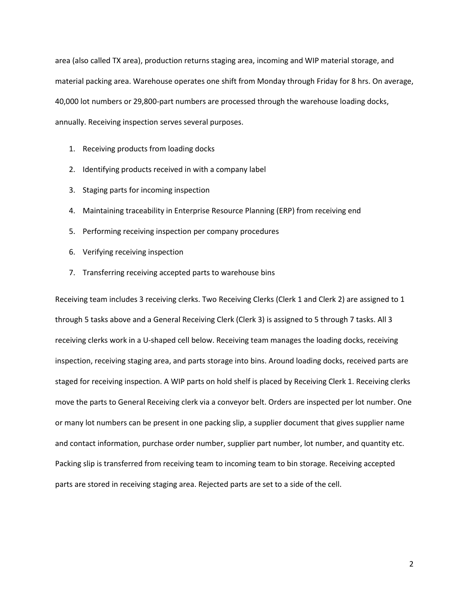area (also called TX area), production returns staging area, incoming and WIP material storage, and material packing area. Warehouse operates one shift from Monday through Friday for 8 hrs. On average, 40,000 lot numbers or 29,800-part numbers are processed through the warehouse loading docks, annually. Receiving inspection serves several purposes.

- 1. Receiving products from loading docks
- 2. Identifying products received in with a company label
- 3. Staging parts for incoming inspection
- 4. Maintaining traceability in Enterprise Resource Planning (ERP) from receiving end
- 5. Performing receiving inspection per company procedures
- 6. Verifying receiving inspection
- 7. Transferring receiving accepted parts to warehouse bins

Receiving team includes 3 receiving clerks. Two Receiving Clerks (Clerk 1 and Clerk 2) are assigned to 1 through 5 tasks above and a General Receiving Clerk (Clerk 3) is assigned to 5 through 7 tasks. All 3 receiving clerks work in a U-shaped cell below. Receiving team manages the loading docks, receiving inspection, receiving staging area, and parts storage into bins. Around loading docks, received parts are staged for receiving inspection. A WIP parts on hold shelf is placed by Receiving Clerk 1. Receiving clerks move the parts to General Receiving clerk via a conveyor belt. Orders are inspected per lot number. One or many lot numbers can be present in one packing slip, a supplier document that gives supplier name and contact information, purchase order number, supplier part number, lot number, and quantity etc. Packing slip is transferred from receiving team to incoming team to bin storage. Receiving accepted parts are stored in receiving staging area. Rejected parts are set to a side of the cell.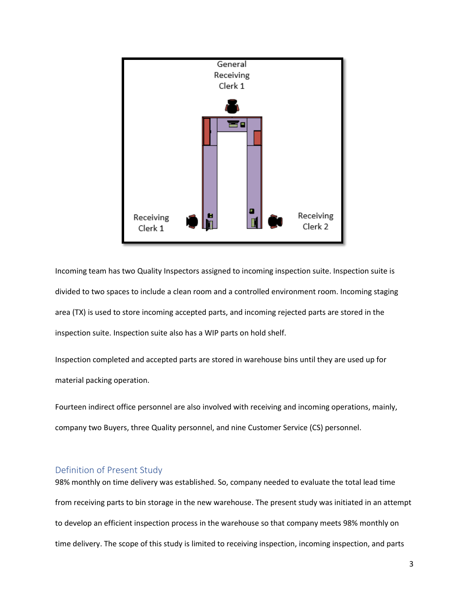

Incoming team has two Quality Inspectors assigned to incoming inspection suite. Inspection suite is divided to two spaces to include a clean room and a controlled environment room. Incoming staging area (TX) is used to store incoming accepted parts, and incoming rejected parts are stored in the inspection suite. Inspection suite also has a WIP parts on hold shelf.

Inspection completed and accepted parts are stored in warehouse bins until they are used up for material packing operation.

Fourteen indirect office personnel are also involved with receiving and incoming operations, mainly, company two Buyers, three Quality personnel, and nine Customer Service (CS) personnel.

## <span id="page-10-0"></span>Definition of Present Study

98% monthly on time delivery was established. So, company needed to evaluate the total lead time from receiving parts to bin storage in the new warehouse. The present study was initiated in an attempt to develop an efficient inspection process in the warehouse so that company meets 98% monthly on time delivery. The scope of this study is limited to receiving inspection, incoming inspection, and parts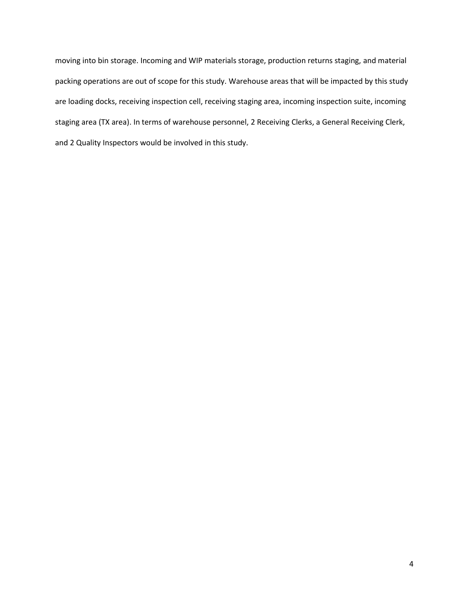<span id="page-11-0"></span>moving into bin storage. Incoming and WIP materials storage, production returns staging, and material packing operations are out of scope for this study. Warehouse areas that will be impacted by this study are loading docks, receiving inspection cell, receiving staging area, incoming inspection suite, incoming staging area (TX area). In terms of warehouse personnel, 2 Receiving Clerks, a General Receiving Clerk, and 2 Quality Inspectors would be involved in this study.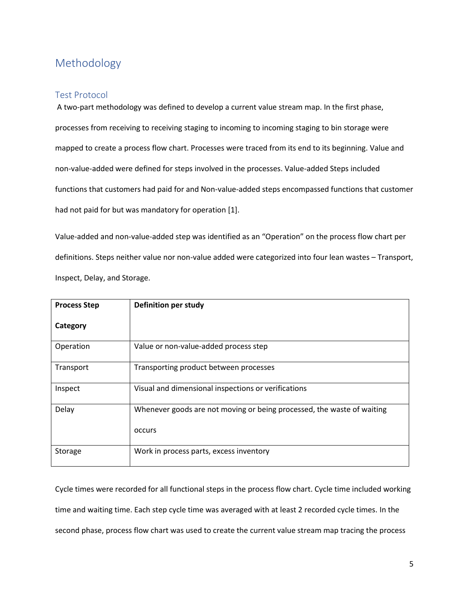## Methodology

## <span id="page-12-0"></span>Test Protocol

A two-part methodology was defined to develop a current value stream map. In the first phase, processes from receiving to receiving staging to incoming to incoming staging to bin storage were mapped to create a process flow chart. Processes were traced from its end to its beginning. Value and non-value-added were defined for steps involved in the processes. Value-added Steps included functions that customers had paid for and Non-value-added steps encompassed functions that customer had not paid for but was mandatory for operation [1].

Value-added and non-value-added step was identified as an "Operation" on the process flow chart per definitions. Steps neither value nor non-value added were categorized into four lean wastes – Transport, Inspect, Delay, and Storage.

| <b>Process Step</b> | Definition per study                                                   |
|---------------------|------------------------------------------------------------------------|
| Category            |                                                                        |
| Operation           | Value or non-value-added process step                                  |
| Transport           | Transporting product between processes                                 |
| Inspect             | Visual and dimensional inspections or verifications                    |
| Delay               | Whenever goods are not moving or being processed, the waste of waiting |
|                     | occurs                                                                 |
| Storage             | Work in process parts, excess inventory                                |

Cycle times were recorded for all functional steps in the process flow chart. Cycle time included working time and waiting time. Each step cycle time was averaged with at least 2 recorded cycle times. In the second phase, process flow chart was used to create the current value stream map tracing the process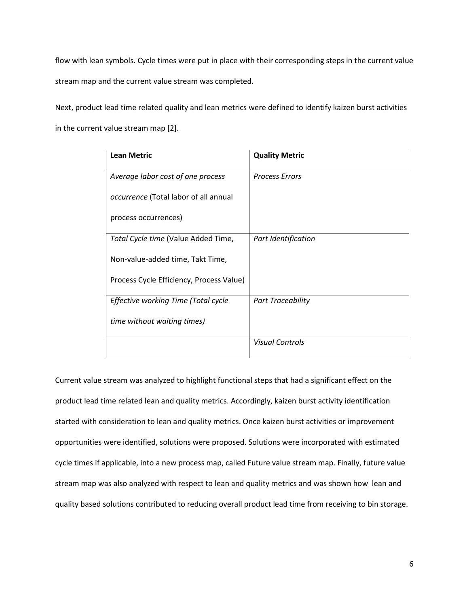flow with lean symbols. Cycle times were put in place with their corresponding steps in the current value stream map and the current value stream was completed.

Next, product lead time related quality and lean metrics were defined to identify kaizen burst activities in the current value stream map [2].

| <b>Lean Metric</b>                           | <b>Quality Metric</b>    |
|----------------------------------------------|--------------------------|
| Average labor cost of one process            | <b>Process Errors</b>    |
| <i>occurrence</i> (Total labor of all annual |                          |
| process occurrences)                         |                          |
| Total Cycle time (Value Added Time,          | Part Identification      |
| Non-value-added time, Takt Time,             |                          |
| Process Cycle Efficiency, Process Value)     |                          |
| Effective working Time (Total cycle          | <b>Part Traceability</b> |
| time without waiting times)                  |                          |
|                                              | <b>Visual Controls</b>   |

Current value stream was analyzed to highlight functional steps that had a significant effect on the product lead time related lean and quality metrics. Accordingly, kaizen burst activity identification started with consideration to lean and quality metrics. Once kaizen burst activities or improvement opportunities were identified, solutions were proposed. Solutions were incorporated with estimated cycle times if applicable, into a new process map, called Future value stream map. Finally, future value stream map was also analyzed with respect to lean and quality metrics and was shown how lean and quality based solutions contributed to reducing overall product lead time from receiving to bin storage.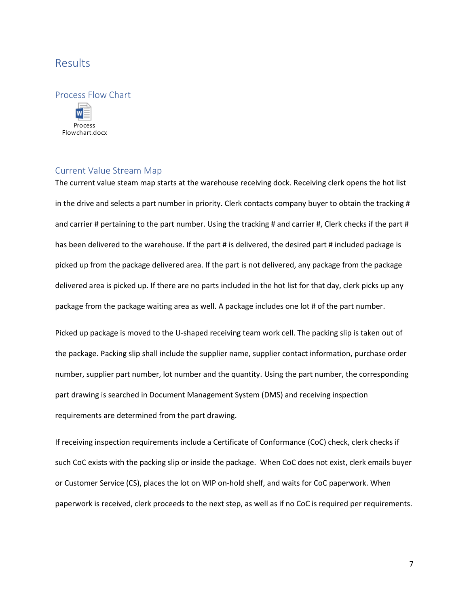## <span id="page-14-0"></span>**Results**

## <span id="page-14-1"></span>Process Flow Chart



## <span id="page-14-2"></span>Current Value Stream Map

The current value steam map starts at the warehouse receiving dock. Receiving clerk opens the hot list in the drive and selects a part number in priority. Clerk contacts company buyer to obtain the tracking # and carrier # pertaining to the part number. Using the tracking # and carrier #, Clerk checks if the part # has been delivered to the warehouse. If the part # is delivered, the desired part # included package is picked up from the package delivered area. If the part is not delivered, any package from the package delivered area is picked up. If there are no parts included in the hot list for that day, clerk picks up any package from the package waiting area as well. A package includes one lot # of the part number.

Picked up package is moved to the U-shaped receiving team work cell. The packing slip is taken out of the package. Packing slip shall include the supplier name, supplier contact information, purchase order number, supplier part number, lot number and the quantity. Using the part number, the corresponding part drawing is searched in Document Management System (DMS) and receiving inspection requirements are determined from the part drawing.

If receiving inspection requirements include a Certificate of Conformance (CoC) check, clerk checks if such CoC exists with the packing slip or inside the package. When CoC does not exist, clerk emails buyer or Customer Service (CS), places the lot on WIP on-hold shelf, and waits for CoC paperwork. When paperwork is received, clerk proceeds to the next step, as well as if no CoC is required per requirements.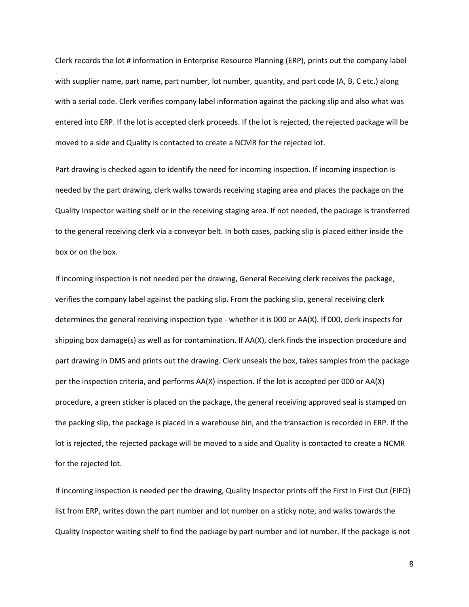Clerk records the lot # information in Enterprise Resource Planning (ERP), prints out the company label with supplier name, part name, part number, lot number, quantity, and part code (A, B, C etc.) along with a serial code. Clerk verifies company label information against the packing slip and also what was entered into ERP. If the lot is accepted clerk proceeds. If the lot is rejected, the rejected package will be moved to a side and Quality is contacted to create a NCMR for the rejected lot.

Part drawing is checked again to identify the need for incoming inspection. If incoming inspection is needed by the part drawing, clerk walks towards receiving staging area and places the package on the Quality Inspector waiting shelf or in the receiving staging area. If not needed, the package is transferred to the general receiving clerk via a conveyor belt. In both cases, packing slip is placed either inside the box or on the box.

If incoming inspection is not needed per the drawing, General Receiving clerk receives the package, verifies the company label against the packing slip. From the packing slip, general receiving clerk determines the general receiving inspection type - whether it is 000 or AA(X). If 000, clerk inspects for shipping box damage(s) as well as for contamination. If AA(X), clerk finds the inspection procedure and part drawing in DMS and prints out the drawing. Clerk unseals the box, takes samples from the package per the inspection criteria, and performs AA(X) inspection. If the lot is accepted per 000 or AA(X) procedure, a green sticker is placed on the package, the general receiving approved seal is stamped on the packing slip, the package is placed in a warehouse bin, and the transaction is recorded in ERP. If the lot is rejected, the rejected package will be moved to a side and Quality is contacted to create a NCMR for the rejected lot.

If incoming inspection is needed per the drawing, Quality Inspector prints off the First In First Out (FIFO) list from ERP, writes down the part number and lot number on a sticky note, and walks towards the Quality Inspector waiting shelf to find the package by part number and lot number. If the package is not

8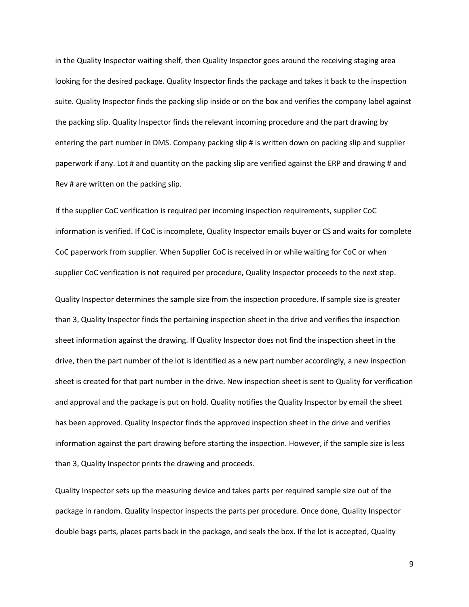in the Quality Inspector waiting shelf, then Quality Inspector goes around the receiving staging area looking for the desired package. Quality Inspector finds the package and takes it back to the inspection suite. Quality Inspector finds the packing slip inside or on the box and verifies the company label against the packing slip. Quality Inspector finds the relevant incoming procedure and the part drawing by entering the part number in DMS. Company packing slip # is written down on packing slip and supplier paperwork if any. Lot # and quantity on the packing slip are verified against the ERP and drawing # and Rev # are written on the packing slip.

If the supplier CoC verification is required per incoming inspection requirements, supplier CoC information is verified. If CoC is incomplete, Quality Inspector emails buyer or CS and waits for complete CoC paperwork from supplier. When Supplier CoC is received in or while waiting for CoC or when supplier CoC verification is not required per procedure, Quality Inspector proceeds to the next step.

Quality Inspector determines the sample size from the inspection procedure. If sample size is greater than 3, Quality Inspector finds the pertaining inspection sheet in the drive and verifies the inspection sheet information against the drawing. If Quality Inspector does not find the inspection sheet in the drive, then the part number of the lot is identified as a new part number accordingly, a new inspection sheet is created for that part number in the drive. New inspection sheet is sent to Quality for verification and approval and the package is put on hold. Quality notifies the Quality Inspector by email the sheet has been approved. Quality Inspector finds the approved inspection sheet in the drive and verifies information against the part drawing before starting the inspection. However, if the sample size is less than 3, Quality Inspector prints the drawing and proceeds.

Quality Inspector sets up the measuring device and takes parts per required sample size out of the package in random. Quality Inspector inspects the parts per procedure. Once done, Quality Inspector double bags parts, places parts back in the package, and seals the box. If the lot is accepted, Quality

9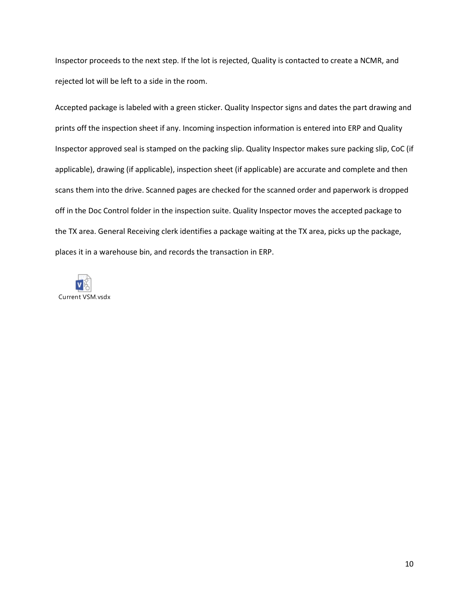Inspector proceeds to the next step. If the lot is rejected, Quality is contacted to create a NCMR, and rejected lot will be left to a side in the room.

Accepted package is labeled with a green sticker. Quality Inspector signs and dates the part drawing and prints off the inspection sheet if any. Incoming inspection information is entered into ERP and Quality Inspector approved seal is stamped on the packing slip. Quality Inspector makes sure packing slip, CoC (if applicable), drawing (if applicable), inspection sheet (if applicable) are accurate and complete and then scans them into the drive. Scanned pages are checked for the scanned order and paperwork is dropped off in the Doc Control folder in the inspection suite. Quality Inspector moves the accepted package to the TX area. General Receiving clerk identifies a package waiting at the TX area, picks up the package, places it in a warehouse bin, and records the transaction in ERP.

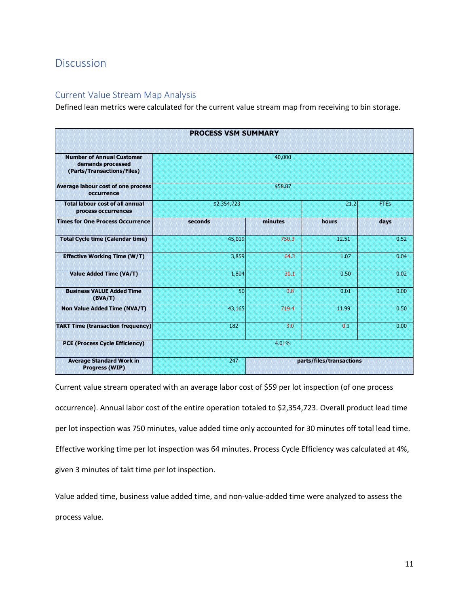## <span id="page-18-0"></span>Discussion

## <span id="page-18-1"></span>Current Value Stream Map Analysis

Defined lean metrics were calculated for the current value stream map from receiving to bin storage.

| <b>PROCESS VSM SUMMARY</b>                                                          |             |         |                          |             |
|-------------------------------------------------------------------------------------|-------------|---------|--------------------------|-------------|
| <b>Number of Annual Customer</b><br>demands processed<br>(Parts/Transactions/Files) | 40,000      |         |                          |             |
| Average labour cost of one process<br>occurrence                                    |             | \$58.87 |                          |             |
| <b>Total labour cost of all annual</b><br>process occurrences                       | \$2,354,723 |         | 21.2                     | <b>FTES</b> |
| <b>Times for One Process Occurrence</b>                                             | seconds     | minutes | hours                    | days        |
| <b>Total Cycle time (Calendar time)</b>                                             | 45,019      | 750.3   | 12.51                    | 0.52        |
| <b>Effective Working Time (W/T)</b>                                                 | 3,859       | 64.3    | 1.07                     | 0.04        |
| <b>Value Added Time (VA/T)</b>                                                      | 1,804       | 30.1    | 0.50                     | 0.02        |
| <b>Business VALUE Added Time</b><br>(BVA/T)                                         | 50          | 0.8     | 0.01                     | 0.00        |
| <b>Non Value Added Time (NVA/T)</b>                                                 | 43,165      | 719.4   | 11.99                    | 0.50        |
| <b>TAKT Time (transaction frequency)</b>                                            | 182         | 3.0     | 0.1                      | 0.00        |
| <b>PCE (Process Cycle Efficiency)</b>                                               | 4.01%       |         |                          |             |
| <b>Average Standard Work in</b><br><b>Progress (WIP)</b>                            | 247         |         | parts/files/transactions |             |

Current value stream operated with an average labor cost of \$59 per lot inspection (of one process occurrence). Annual labor cost of the entire operation totaled to \$2,354,723. Overall product lead time per lot inspection was 750 minutes, value added time only accounted for 30 minutes off total lead time. Effective working time per lot inspection was 64 minutes. Process Cycle Efficiency was calculated at 4%, given 3 minutes of takt time per lot inspection.

Value added time, business value added time, and non-value-added time were analyzed to assess the process value.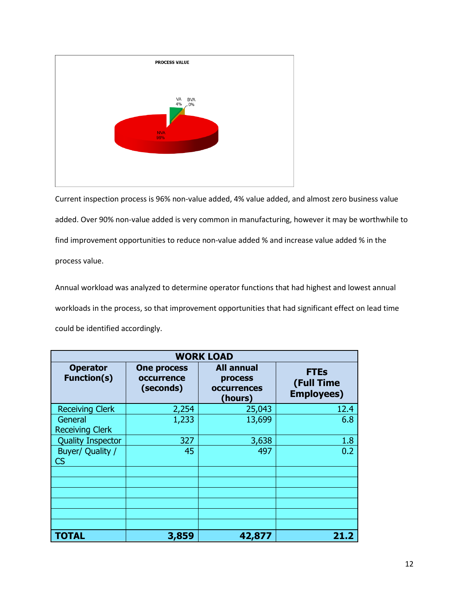

Current inspection process is 96% non-value added, 4% value added, and almost zero business value added. Over 90% non-value added is very common in manufacturing, however it may be worthwhile to find improvement opportunities to reduce non-value added % and increase value added % in the process value.

Annual workload was analyzed to determine operator functions that had highest and lowest annual workloads in the process, so that improvement opportunities that had significant effect on lead time could be identified accordingly.

| <b>WORK LOAD</b>                             |                                               |                                                                      |                                                       |  |
|----------------------------------------------|-----------------------------------------------|----------------------------------------------------------------------|-------------------------------------------------------|--|
| <b>Operator</b><br><b>Function(s)</b>        | <b>One process</b><br>occurrence<br>(seconds) | <b>All annual</b><br><b>process</b><br><b>occurrences</b><br>(hours) | <b>FTEs</b><br><b>(Full Time</b><br><b>Employees)</b> |  |
| <b>Receiving Clerk</b>                       | 2,254                                         | 25,043                                                               | 12.4                                                  |  |
| General<br><b>Receiving Clerk</b>            | 1,233                                         | 13,699                                                               | 6.8                                                   |  |
| <b>Quality Inspector</b>                     | 327                                           | 3,638                                                                | 1.8                                                   |  |
| Buyer/ Quality /<br>$\mathsf{CS}\phantom{0}$ | 45                                            | 497                                                                  | 0.2                                                   |  |
|                                              |                                               |                                                                      |                                                       |  |
| <b>TOTAL</b>                                 | 3,859                                         | 42,877                                                               | 21.2                                                  |  |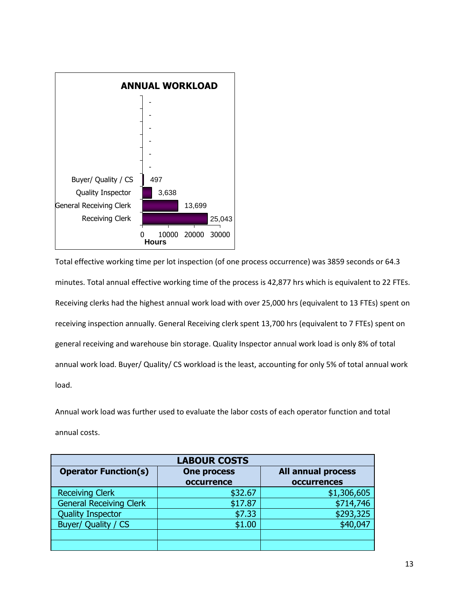

Total effective working time per lot inspection (of one process occurrence) was 3859 seconds or 64.3 minutes. Total annual effective working time of the process is 42,877 hrs which is equivalent to 22 FTEs. Receiving clerks had the highest annual work load with over 25,000 hrs (equivalent to 13 FTEs) spent on receiving inspection annually. General Receiving clerk spent 13,700 hrs (equivalent to 7 FTEs) spent on general receiving and warehouse bin storage. Quality Inspector annual work load is only 8% of total annual work load. Buyer/ Quality/ CS workload is the least, accounting for only 5% of total annual work load.

Annual work load was further used to evaluate the labor costs of each operator function and total annual costs.

| <b>LABOUR COSTS</b>            |                    |                           |  |  |
|--------------------------------|--------------------|---------------------------|--|--|
| <b>Operator Function(s)</b>    | <b>One process</b> | <b>All annual process</b> |  |  |
|                                | <b>occurrence</b>  | <b>occurrences</b>        |  |  |
| <b>Receiving Clerk</b>         | \$32.67            | \$1,306,605               |  |  |
| <b>General Receiving Clerk</b> | \$17.87            | \$714,746                 |  |  |
| <b>Quality Inspector</b>       | \$7.33             | \$293,325                 |  |  |
| Buyer/ Quality / CS            | \$1.00             | \$40,047                  |  |  |
|                                |                    |                           |  |  |
|                                |                    |                           |  |  |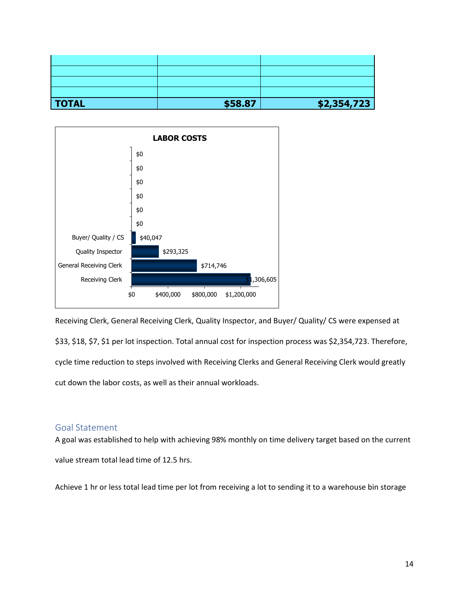| <b>TOTAL</b> | \$58.87 | \$2,354,723 |
|--------------|---------|-------------|



Receiving Clerk, General Receiving Clerk, Quality Inspector, and Buyer/ Quality/ CS were expensed at \$33, \$18, \$7, \$1 per lot inspection. Total annual cost for inspection process was \$2,354,723. Therefore, cycle time reduction to steps involved with Receiving Clerks and General Receiving Clerk would greatly cut down the labor costs, as well as their annual workloads.

## <span id="page-21-0"></span>Goal Statement

A goal was established to help with achieving 98% monthly on time delivery target based on the current value stream total lead time of 12.5 hrs.

Achieve 1 hr or less total lead time per lot from receiving a lot to sending it to a warehouse bin storage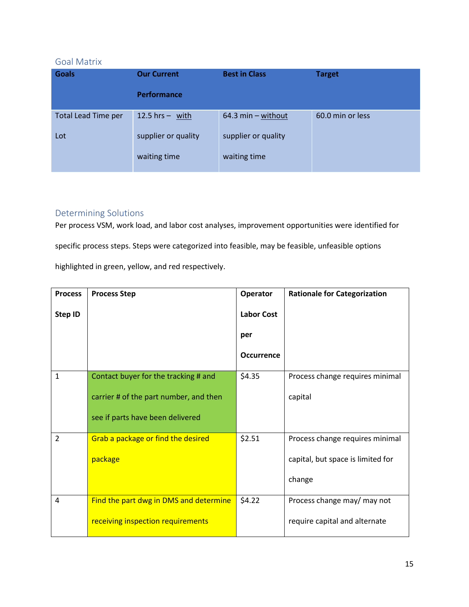## <span id="page-22-0"></span>Goal Matrix

| <b>Goals</b>        | <b>Our Current</b>  | <b>Best in Class</b> | <b>Target</b>    |
|---------------------|---------------------|----------------------|------------------|
|                     | <b>Performance</b>  |                      |                  |
| Total Lead Time per | 12.5 hrs $-$ with   | 64.3 min - without   | 60.0 min or less |
| Lot                 | supplier or quality | supplier or quality  |                  |
|                     | waiting time        | waiting time         |                  |

## <span id="page-22-1"></span>Determining Solutions

Per process VSM, work load, and labor cost analyses, improvement opportunities were identified for specific process steps. Steps were categorized into feasible, may be feasible, unfeasible options

highlighted in green, yellow, and red respectively.

| <b>Process</b> | <b>Process Step</b>                    | Operator          | <b>Rationale for Categorization</b> |
|----------------|----------------------------------------|-------------------|-------------------------------------|
| Step ID        |                                        | <b>Labor Cost</b> |                                     |
|                |                                        | per               |                                     |
|                |                                        | <b>Occurrence</b> |                                     |
| $\mathbf{1}$   | Contact buyer for the tracking # and   | \$4.35            | Process change requires minimal     |
|                | carrier # of the part number, and then |                   | capital                             |
|                | see if parts have been delivered       |                   |                                     |
| $\overline{2}$ | Grab a package or find the desired     | \$2.51            | Process change requires minimal     |
|                | package                                |                   | capital, but space is limited for   |
|                |                                        |                   | change                              |
| 4              | Find the part dwg in DMS and determine | \$4.22            | Process change may/ may not         |
|                | receiving inspection requirements      |                   | require capital and alternate       |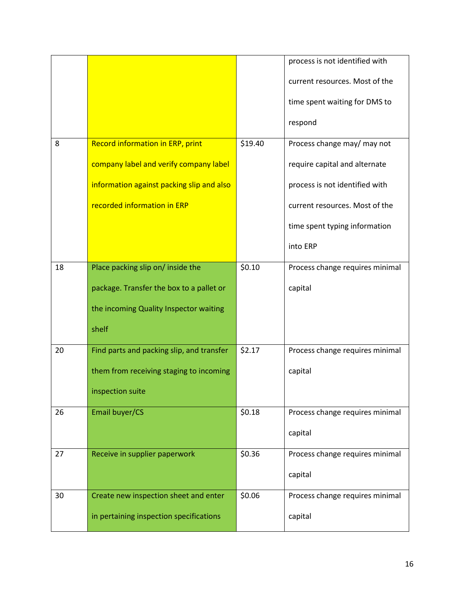|    |                                           |         | process is not identified with  |
|----|-------------------------------------------|---------|---------------------------------|
|    |                                           |         | current resources. Most of the  |
|    |                                           |         | time spent waiting for DMS to   |
|    |                                           |         | respond                         |
| 8  | Record information in ERP, print          | \$19.40 | Process change may/ may not     |
|    | company label and verify company label    |         | require capital and alternate   |
|    | information against packing slip and also |         | process is not identified with  |
|    | recorded information in ERP               |         | current resources. Most of the  |
|    |                                           |         | time spent typing information   |
|    |                                           |         | into ERP                        |
| 18 | Place packing slip on/ inside the         | \$0.10  | Process change requires minimal |
|    | package. Transfer the box to a pallet or  |         | capital                         |
|    | the incoming Quality Inspector waiting    |         |                                 |
|    | shelf                                     |         |                                 |
| 20 | Find parts and packing slip, and transfer | \$2.17  | Process change requires minimal |
|    | them from receiving staging to incoming   |         | capital                         |
|    | inspection suite                          |         |                                 |
| 26 | Email buyer/CS                            | \$0.18  | Process change requires minimal |
|    |                                           |         | capital                         |
| 27 | Receive in supplier paperwork             | \$0.36  | Process change requires minimal |
|    |                                           |         | capital                         |
| 30 | Create new inspection sheet and enter     | \$0.06  | Process change requires minimal |
|    | in pertaining inspection specifications   |         | capital                         |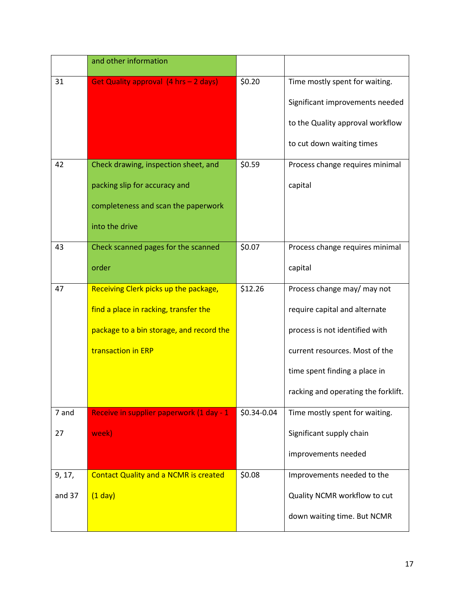|        | and other information                        |                |                                     |
|--------|----------------------------------------------|----------------|-------------------------------------|
| 31     | Get Quality approval (4 hrs - 2 days)        | \$0.20         | Time mostly spent for waiting.      |
|        |                                              |                | Significant improvements needed     |
|        |                                              |                | to the Quality approval workflow    |
|        |                                              |                | to cut down waiting times           |
| 42     | Check drawing, inspection sheet, and         | \$0.59         | Process change requires minimal     |
|        | packing slip for accuracy and                |                | capital                             |
|        | completeness and scan the paperwork          |                |                                     |
|        | into the drive                               |                |                                     |
| 43     | Check scanned pages for the scanned          | \$0.07         | Process change requires minimal     |
|        | order                                        |                | capital                             |
| 47     | Receiving Clerk picks up the package,        | \$12.26        | Process change may/ may not         |
|        | find a place in racking, transfer the        |                | require capital and alternate       |
|        | package to a bin storage, and record the     |                | process is not identified with      |
|        | transaction in ERP                           |                | current resources. Most of the      |
|        |                                              |                | time spent finding a place in       |
|        |                                              |                | racking and operating the forklift. |
| 7 and  | Receive in supplier paperwork (1 day - 1     | $$0.34 - 0.04$ | Time mostly spent for waiting.      |
| 27     | week)                                        |                | Significant supply chain            |
|        |                                              |                | improvements needed                 |
| 9, 17, | <b>Contact Quality and a NCMR is created</b> | \$0.08         | Improvements needed to the          |
| and 37 | $(1$ day)                                    |                | Quality NCMR workflow to cut        |
|        |                                              |                | down waiting time. But NCMR         |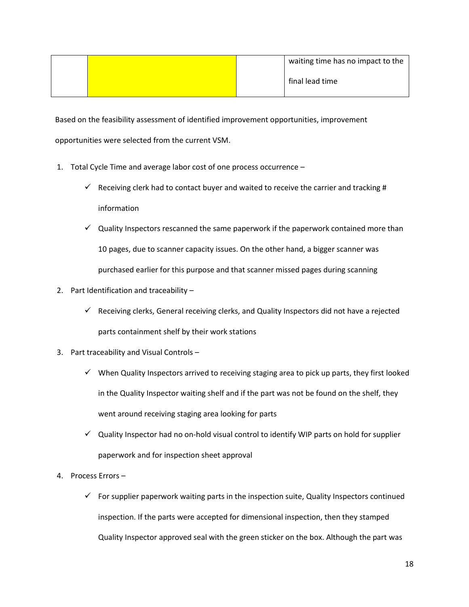|  | waiting time has no impact to the |
|--|-----------------------------------|
|  | final lead time                   |

Based on the feasibility assessment of identified improvement opportunities, improvement opportunities were selected from the current VSM.

- 1. Total Cycle Time and average labor cost of one process occurrence
	- $\checkmark$  Receiving clerk had to contact buyer and waited to receive the carrier and tracking # information
	- $\checkmark$  Quality Inspectors rescanned the same paperwork if the paperwork contained more than 10 pages, due to scanner capacity issues. On the other hand, a bigger scanner was purchased earlier for this purpose and that scanner missed pages during scanning
- 2. Part Identification and traceability
	- $\checkmark$  Receiving clerks, General receiving clerks, and Quality Inspectors did not have a rejected parts containment shelf by their work stations
- 3. Part traceability and Visual Controls
	- $\checkmark$  When Quality Inspectors arrived to receiving staging area to pick up parts, they first looked in the Quality Inspector waiting shelf and if the part was not be found on the shelf, they went around receiving staging area looking for parts
	- ✓ Quality Inspector had no on-hold visual control to identify WIP parts on hold for supplier paperwork and for inspection sheet approval
- 4. Process Errors
	- $\checkmark$  For supplier paperwork waiting parts in the inspection suite, Quality Inspectors continued inspection. If the parts were accepted for dimensional inspection, then they stamped Quality Inspector approved seal with the green sticker on the box. Although the part was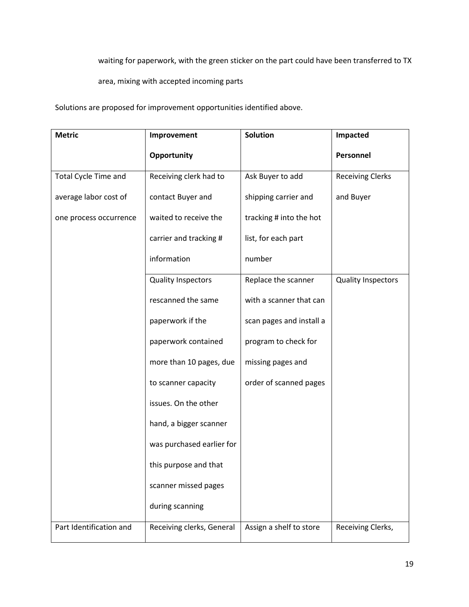waiting for paperwork, with the green sticker on the part could have been transferred to TX

area, mixing with accepted incoming parts

Solutions are proposed for improvement opportunities identified above.

| <b>Metric</b>           | Improvement               | Solution                 | Impacted                  |
|-------------------------|---------------------------|--------------------------|---------------------------|
|                         | Opportunity               |                          | Personnel                 |
| Total Cycle Time and    | Receiving clerk had to    | Ask Buyer to add         | <b>Receiving Clerks</b>   |
| average labor cost of   | contact Buyer and         | shipping carrier and     | and Buyer                 |
| one process occurrence  | waited to receive the     | tracking # into the hot  |                           |
|                         | carrier and tracking #    | list, for each part      |                           |
|                         | information               | number                   |                           |
|                         | <b>Quality Inspectors</b> | Replace the scanner      | <b>Quality Inspectors</b> |
|                         | rescanned the same        | with a scanner that can  |                           |
|                         | paperwork if the          | scan pages and install a |                           |
|                         | paperwork contained       | program to check for     |                           |
|                         | more than 10 pages, due   | missing pages and        |                           |
|                         | to scanner capacity       | order of scanned pages   |                           |
|                         | issues. On the other      |                          |                           |
|                         | hand, a bigger scanner    |                          |                           |
|                         | was purchased earlier for |                          |                           |
|                         | this purpose and that     |                          |                           |
|                         | scanner missed pages      |                          |                           |
|                         | during scanning           |                          |                           |
| Part Identification and | Receiving clerks, General | Assign a shelf to store  | Receiving Clerks,         |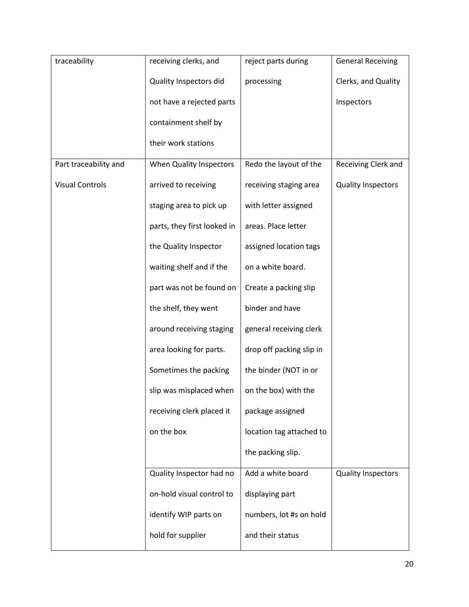| traceability           | receiving clerks, and       | reject parts during      | <b>General Receiving</b>  |
|------------------------|-----------------------------|--------------------------|---------------------------|
|                        | Quality Inspectors did      | processing               | Clerks, and Quality       |
|                        | not have a rejected parts   |                          | Inspectors                |
|                        | containment shelf by        |                          |                           |
|                        | their work stations         |                          |                           |
| Part traceability and  | When Quality Inspectors     | Redo the layout of the   | Receiving Clerk and       |
| <b>Visual Controls</b> | arrived to receiving        | receiving staging area   | <b>Quality Inspectors</b> |
|                        | staging area to pick up     | with letter assigned     |                           |
|                        | parts, they first looked in | areas. Place letter      |                           |
|                        | the Quality Inspector       | assigned location tags   |                           |
|                        | waiting shelf and if the    | on a white board.        |                           |
|                        | part was not be found on    | Create a packing slip    |                           |
|                        | the shelf, they went        | binder and have          |                           |
|                        | around receiving staging    | general receiving clerk  |                           |
|                        | area looking for parts.     | drop off packing slip in |                           |
|                        | Sometimes the packing       | the binder (NOT in or    |                           |
|                        | slip was misplaced when     | on the box) with the     |                           |
|                        | receiving clerk placed it   | package assigned         |                           |
|                        | on the box                  | location tag attached to |                           |
|                        |                             | the packing slip.        |                           |
|                        | Quality Inspector had no    | Add a white board        | <b>Quality Inspectors</b> |
|                        | on-hold visual control to   | displaying part          |                           |
|                        | identify WIP parts on       | numbers, lot #s on hold  |                           |
|                        | hold for supplier           | and their status         |                           |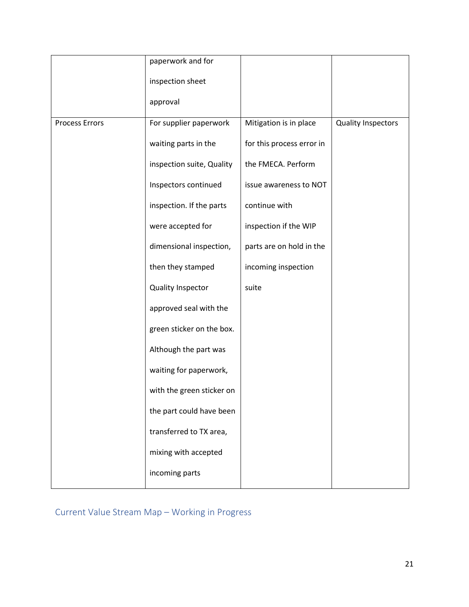|                       | paperwork and for         |                           |                           |
|-----------------------|---------------------------|---------------------------|---------------------------|
|                       | inspection sheet          |                           |                           |
|                       | approval                  |                           |                           |
| <b>Process Errors</b> | For supplier paperwork    | Mitigation is in place    | <b>Quality Inspectors</b> |
|                       | waiting parts in the      | for this process error in |                           |
|                       | inspection suite, Quality | the FMECA. Perform        |                           |
|                       | Inspectors continued      | issue awareness to NOT    |                           |
|                       | inspection. If the parts  | continue with             |                           |
|                       | were accepted for         | inspection if the WIP     |                           |
|                       | dimensional inspection,   | parts are on hold in the  |                           |
|                       | then they stamped         | incoming inspection       |                           |
|                       | Quality Inspector         | suite                     |                           |
|                       | approved seal with the    |                           |                           |
|                       | green sticker on the box. |                           |                           |
|                       | Although the part was     |                           |                           |
|                       | waiting for paperwork,    |                           |                           |
|                       | with the green sticker on |                           |                           |
|                       | the part could have been  |                           |                           |
|                       | transferred to TX area,   |                           |                           |
|                       | mixing with accepted      |                           |                           |
|                       | incoming parts            |                           |                           |

<span id="page-28-0"></span>Current Value Stream Map – Working in Progress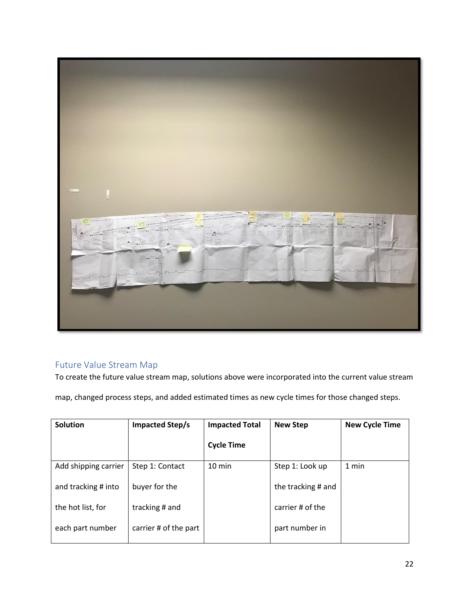

## <span id="page-29-0"></span>Future Value Stream Map

To create the future value stream map, solutions above were incorporated into the current value stream

map, changed process steps, and added estimated times as new cycle times for those changed steps.

| <b>Solution</b>      | <b>Impacted Step/s</b> | <b>Impacted Total</b> | <b>New Step</b>    | <b>New Cycle Time</b> |
|----------------------|------------------------|-----------------------|--------------------|-----------------------|
|                      |                        | <b>Cycle Time</b>     |                    |                       |
| Add shipping carrier | Step 1: Contact        | $10 \text{ min}$      | Step 1: Look up    | 1 min                 |
| and tracking # into  | buyer for the          |                       | the tracking # and |                       |
| the hot list, for    | tracking # and         |                       | carrier # of the   |                       |
| each part number     | carrier # of the part  |                       | part number in     |                       |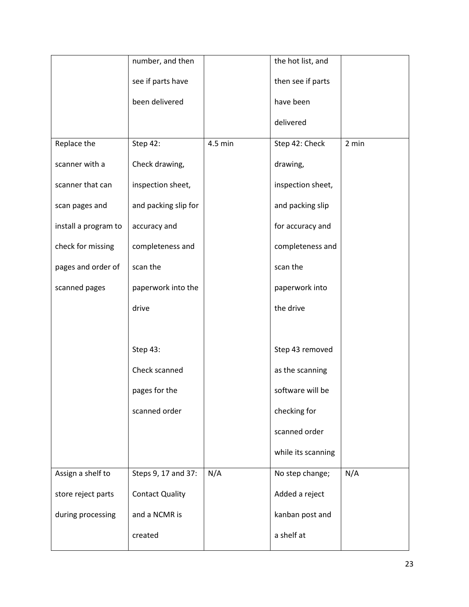|                      | number, and then       |         | the hot list, and  |       |
|----------------------|------------------------|---------|--------------------|-------|
|                      | see if parts have      |         | then see if parts  |       |
|                      | been delivered         |         | have been          |       |
|                      |                        |         | delivered          |       |
| Replace the          | Step 42:               | 4.5 min | Step 42: Check     | 2 min |
| scanner with a       | Check drawing,         |         | drawing,           |       |
| scanner that can     | inspection sheet,      |         | inspection sheet,  |       |
| scan pages and       | and packing slip for   |         | and packing slip   |       |
| install a program to | accuracy and           |         | for accuracy and   |       |
| check for missing    | completeness and       |         | completeness and   |       |
| pages and order of   | scan the               |         | scan the           |       |
| scanned pages        | paperwork into the     |         | paperwork into     |       |
|                      | drive                  |         | the drive          |       |
|                      |                        |         |                    |       |
|                      | Step 43:               |         | Step 43 removed    |       |
|                      | Check scanned          |         | as the scanning    |       |
|                      | pages for the          |         | software will be   |       |
|                      | scanned order          |         | checking for       |       |
|                      |                        |         | scanned order      |       |
|                      |                        |         | while its scanning |       |
| Assign a shelf to    | Steps 9, 17 and 37:    | N/A     | No step change;    | N/A   |
| store reject parts   | <b>Contact Quality</b> |         | Added a reject     |       |
| during processing    | and a NCMR is          |         | kanban post and    |       |
|                      | created                |         | a shelf at         |       |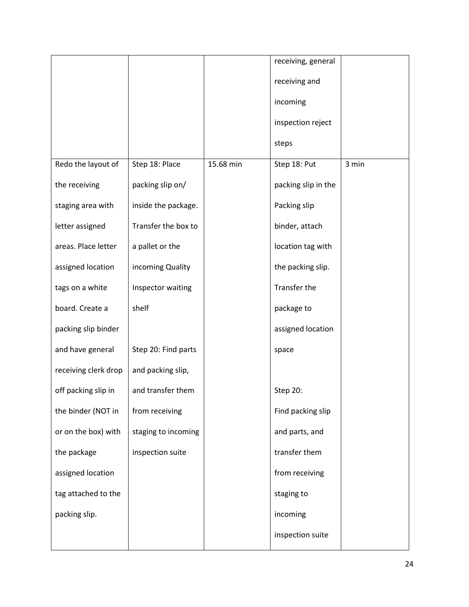|                      |                     |           | receiving, general  |       |
|----------------------|---------------------|-----------|---------------------|-------|
|                      |                     |           | receiving and       |       |
|                      |                     |           | incoming            |       |
|                      |                     |           | inspection reject   |       |
|                      |                     |           | steps               |       |
| Redo the layout of   | Step 18: Place      | 15.68 min | Step 18: Put        | 3 min |
| the receiving        | packing slip on/    |           | packing slip in the |       |
| staging area with    | inside the package. |           | Packing slip        |       |
| letter assigned      | Transfer the box to |           | binder, attach      |       |
| areas. Place letter  | a pallet or the     |           | location tag with   |       |
| assigned location    | incoming Quality    |           | the packing slip.   |       |
| tags on a white      | Inspector waiting   |           | Transfer the        |       |
| board. Create a      | shelf               |           | package to          |       |
| packing slip binder  |                     |           | assigned location   |       |
| and have general     | Step 20: Find parts |           | space               |       |
| receiving clerk drop | and packing slip,   |           |                     |       |
| off packing slip in  | and transfer them   |           | Step 20:            |       |
| the binder (NOT in   | from receiving      |           | Find packing slip   |       |
| or on the box) with  | staging to incoming |           | and parts, and      |       |
| the package          | inspection suite    |           | transfer them       |       |
| assigned location    |                     |           | from receiving      |       |
| tag attached to the  |                     |           | staging to          |       |
| packing slip.        |                     |           | incoming            |       |
|                      |                     |           | inspection suite    |       |
|                      |                     |           |                     |       |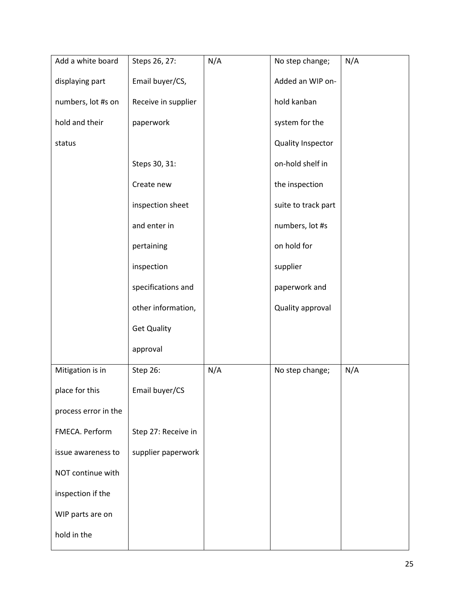| Add a white board    | Steps 26, 27:       | N/A | No step change;     | N/A |
|----------------------|---------------------|-----|---------------------|-----|
| displaying part      | Email buyer/CS,     |     | Added an WIP on-    |     |
| numbers, lot #s on   | Receive in supplier |     | hold kanban         |     |
| hold and their       | paperwork           |     | system for the      |     |
| status               |                     |     | Quality Inspector   |     |
|                      | Steps 30, 31:       |     | on-hold shelf in    |     |
|                      | Create new          |     | the inspection      |     |
|                      | inspection sheet    |     | suite to track part |     |
|                      | and enter in        |     | numbers, lot #s     |     |
|                      | pertaining          |     | on hold for         |     |
|                      | inspection          |     | supplier            |     |
|                      | specifications and  |     | paperwork and       |     |
|                      | other information,  |     | Quality approval    |     |
|                      | <b>Get Quality</b>  |     |                     |     |
|                      | approval            |     |                     |     |
| Mitigation is in     | Step 26:            | N/A | No step change;     | N/A |
| place for this       | Email buyer/CS      |     |                     |     |
| process error in the |                     |     |                     |     |
| FMECA. Perform       | Step 27: Receive in |     |                     |     |
| issue awareness to   | supplier paperwork  |     |                     |     |
| NOT continue with    |                     |     |                     |     |
| inspection if the    |                     |     |                     |     |
| WIP parts are on     |                     |     |                     |     |
| hold in the          |                     |     |                     |     |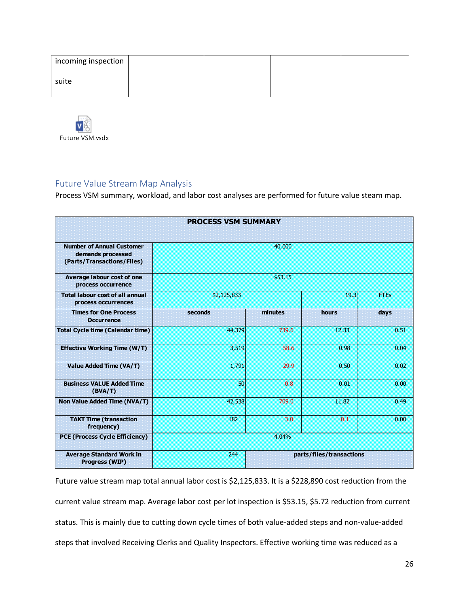| incoming inspection |  |  |
|---------------------|--|--|
| suite               |  |  |



## <span id="page-33-0"></span>Future Value Stream Map Analysis

Process VSM summary, workload, and labor cost analyses are performed for future value steam map.

|                                                                                     | <b>PROCESS VSM SUMMARY</b>         |         |                          |      |  |
|-------------------------------------------------------------------------------------|------------------------------------|---------|--------------------------|------|--|
| <b>Number of Annual Customer</b><br>demands processed<br>(Parts/Transactions/Files) | 40,000                             |         |                          |      |  |
| Average labour cost of one<br>process occurrence                                    |                                    | \$53.15 |                          |      |  |
| <b>Total labour cost of all annual</b><br>process occurrences                       | \$2,125,833<br>19.3<br><b>FTES</b> |         |                          |      |  |
| <b>Times for One Process</b><br><b>Occurrence</b>                                   | seconds                            | minutes | hours                    | days |  |
| <b>Total Cycle time (Calendar time)</b>                                             | 44,379                             | 739.6   | 12.33                    | 0.51 |  |
| <b>Effective Working Time (W/T)</b>                                                 | 3,519                              | 58.6    | 0.98                     | 0.04 |  |
| Value Added Time (VA/T)                                                             | 1,791                              | 29.9    | 0.50                     | 0.02 |  |
| <b>Business VALUE Added Time</b><br>(BVA/T)                                         | 50                                 | 0.8     | 0.01                     | 0.00 |  |
| Non Value Added Time (NVA/T)                                                        | 42,538                             | 709.0   | 11.82                    | 0.49 |  |
| <b>TAKT Time (transaction</b><br>frequency)                                         | 182                                | 3.0     | 0.1                      | 0.00 |  |
| <b>PCE (Process Cycle Efficiency)</b>                                               |                                    | 4.04%   |                          |      |  |
| <b>Average Standard Work in</b><br><b>Progress (WIP)</b>                            | 244                                |         | parts/files/transactions |      |  |

Future value stream map total annual labor cost is \$2,125,833. It is a \$228,890 cost reduction from the current value stream map. Average labor cost per lot inspection is \$53.15, \$5.72 reduction from current status. This is mainly due to cutting down cycle times of both value-added steps and non-value-added steps that involved Receiving Clerks and Quality Inspectors. Effective working time was reduced as a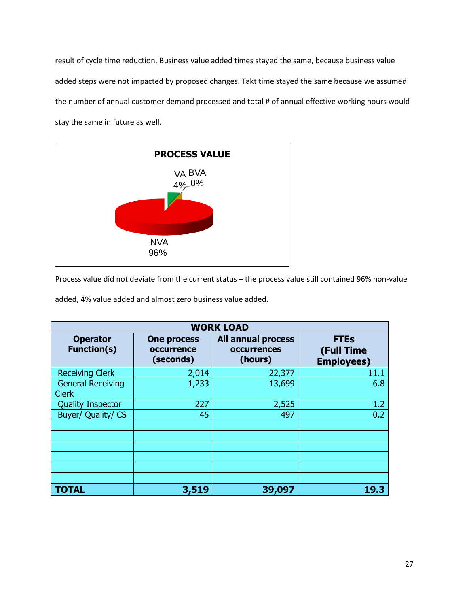result of cycle time reduction. Business value added times stayed the same, because business value added steps were not impacted by proposed changes. Takt time stayed the same because we assumed the number of annual customer demand processed and total # of annual effective working hours would stay the same in future as well.



Process value did not deviate from the current status – the process value still contained 96% non-value

added, 4% value added and almost zero business value added.

| <b>WORK LOAD</b>                         |                                               |                                                            |                                                       |  |  |
|------------------------------------------|-----------------------------------------------|------------------------------------------------------------|-------------------------------------------------------|--|--|
| <b>Operator</b><br><b>Function(s)</b>    | <b>One process</b><br>occurrence<br>(seconds) | <b>All annual process</b><br><b>occurrences</b><br>(hours) | <b>FTEs</b><br><b>(Full Time</b><br><b>Employees)</b> |  |  |
| <b>Receiving Clerk</b>                   | 2,014                                         | 22,377                                                     | 11.1                                                  |  |  |
| <b>General Receiving</b><br><b>Clerk</b> | 1,233                                         | 13,699                                                     | 6.8                                                   |  |  |
| <b>Quality Inspector</b>                 | 227                                           | 2,525                                                      | 1.2                                                   |  |  |
| Buyer/ Quality/ CS                       | 45                                            | 497                                                        | 0.2                                                   |  |  |
| <b>TOTAL</b>                             | 3,519                                         | 39,097                                                     | 19.3                                                  |  |  |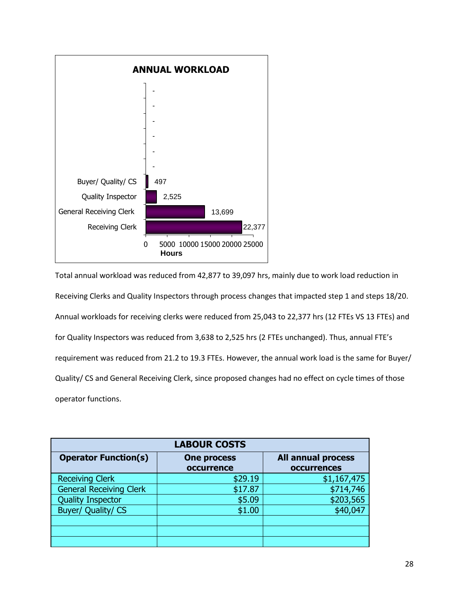

Total annual workload was reduced from 42,877 to 39,097 hrs, mainly due to work load reduction in Receiving Clerks and Quality Inspectors through process changes that impacted step 1 and steps 18/20. Annual workloads for receiving clerks were reduced from 25,043 to 22,377 hrs (12 FTEs VS 13 FTEs) and for Quality Inspectors was reduced from 3,638 to 2,525 hrs (2 FTEs unchanged). Thus, annual FTE's requirement was reduced from 21.2 to 19.3 FTEs. However, the annual work load is the same for Buyer/ Quality/ CS and General Receiving Clerk, since proposed changes had no effect on cycle times of those operator functions.

| <b>LABOUR COSTS</b>            |                    |                           |  |  |
|--------------------------------|--------------------|---------------------------|--|--|
| <b>Operator Function(s)</b>    | <b>One process</b> | <b>All annual process</b> |  |  |
|                                | <b>occurrence</b>  | <b>occurrences</b>        |  |  |
| <b>Receiving Clerk</b>         | \$29.19            | \$1,167,475               |  |  |
| <b>General Receiving Clerk</b> | \$17.87            | \$714,746                 |  |  |
| <b>Quality Inspector</b>       | \$5.09             | \$203,565                 |  |  |
| Buyer/ Quality/ CS             | \$1.00             | \$40,047                  |  |  |
|                                |                    |                           |  |  |
|                                |                    |                           |  |  |
|                                |                    |                           |  |  |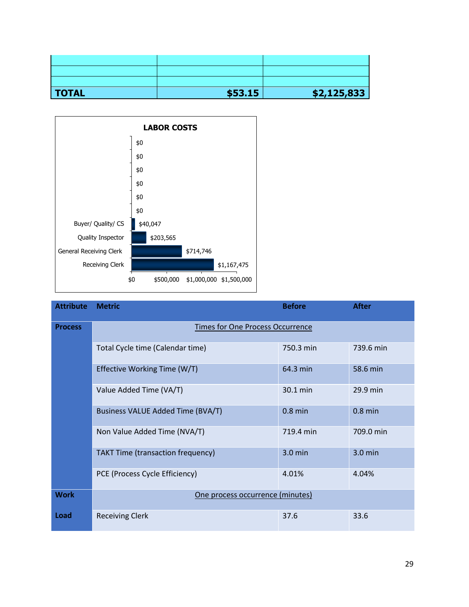| <b>TOTAL</b> | \$53.15 | \$2,125,833 |
|--------------|---------|-------------|



| <b>Attribute</b> | <b>Metric</b>                            | <b>Before</b> | <b>After</b> |  |  |
|------------------|------------------------------------------|---------------|--------------|--|--|
| <b>Process</b>   | <b>Times for One Process Occurrence</b>  |               |              |  |  |
|                  | Total Cycle time (Calendar time)         | 750.3 min     | 739.6 min    |  |  |
|                  | Effective Working Time (W/T)             | 64.3 min      | 58.6 min     |  |  |
|                  | Value Added Time (VA/T)                  | 30.1 min      | 29.9 min     |  |  |
|                  | Business VALUE Added Time (BVA/T)        | $0.8$ min     | $0.8$ min    |  |  |
|                  | Non Value Added Time (NVA/T)             | 719.4 min     | 709.0 min    |  |  |
|                  | <b>TAKT Time (transaction frequency)</b> | 3.0 min       | 3.0 min      |  |  |
|                  | PCE (Process Cycle Efficiency)           | 4.01%         | 4.04%        |  |  |
| <b>Work</b>      | One process occurrence (minutes)         |               |              |  |  |
| Load             | <b>Receiving Clerk</b>                   | 37.6          | 33.6         |  |  |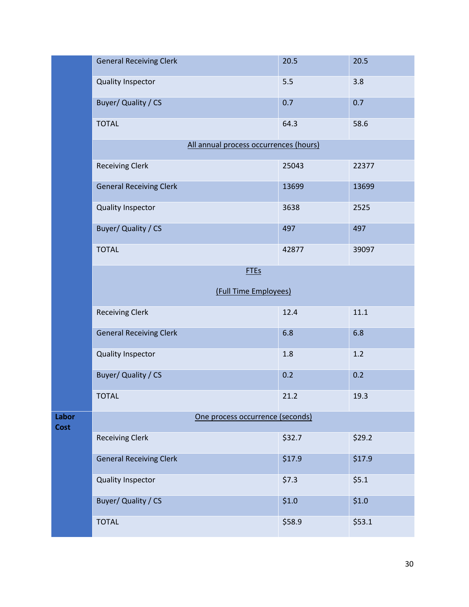|                      | <b>General Receiving Clerk</b>         | 20.5   | 20.5   |  |  |
|----------------------|----------------------------------------|--------|--------|--|--|
|                      | Quality Inspector                      | 5.5    | 3.8    |  |  |
|                      | Buyer/ Quality / CS                    | 0.7    | 0.7    |  |  |
|                      | <b>TOTAL</b>                           | 64.3   | 58.6   |  |  |
|                      | All annual process occurrences (hours) |        |        |  |  |
|                      | <b>Receiving Clerk</b>                 | 25043  | 22377  |  |  |
|                      | <b>General Receiving Clerk</b>         | 13699  | 13699  |  |  |
|                      | <b>Quality Inspector</b>               | 3638   | 2525   |  |  |
|                      | Buyer/ Quality / CS                    | 497    | 497    |  |  |
|                      | <b>TOTAL</b>                           | 42877  | 39097  |  |  |
|                      | <b>FTEs</b>                            |        |        |  |  |
|                      | (Full Time Employees)                  |        |        |  |  |
|                      | <b>Receiving Clerk</b>                 | 12.4   | 11.1   |  |  |
|                      | <b>General Receiving Clerk</b>         | 6.8    | 6.8    |  |  |
|                      | Quality Inspector                      | 1.8    | 1.2    |  |  |
|                      | Buyer/ Quality / CS                    | 0.2    | 0.2    |  |  |
|                      | <b>TOTAL</b>                           | 21.2   | 19.3   |  |  |
| Labor<br><b>Cost</b> | One process occurrence (seconds)       |        |        |  |  |
|                      | <b>Receiving Clerk</b>                 | \$32.7 | \$29.2 |  |  |
|                      | <b>General Receiving Clerk</b>         | \$17.9 | \$17.9 |  |  |
|                      | Quality Inspector                      | \$7.3  | \$5.1  |  |  |
|                      | Buyer/ Quality / CS                    | \$1.0  | \$1.0  |  |  |
|                      | <b>TOTAL</b>                           | \$58.9 | \$53.1 |  |  |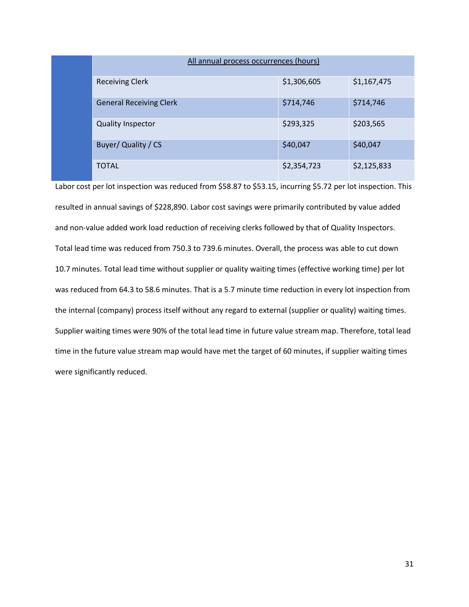| All annual process occurrences (hours) |             |             |  |
|----------------------------------------|-------------|-------------|--|
| <b>Receiving Clerk</b>                 | \$1,306,605 | \$1,167,475 |  |
| <b>General Receiving Clerk</b>         | \$714,746   | \$714,746   |  |
| <b>Quality Inspector</b>               | \$293,325   | \$203,565   |  |
| Buyer/ Quality / CS                    | \$40,047    | \$40,047    |  |
| <b>TOTAL</b>                           | \$2,354,723 | \$2,125,833 |  |

<span id="page-38-0"></span>Labor cost per lot inspection was reduced from \$58.87 to \$53.15, incurring \$5.72 per lot inspection. This resulted in annual savings of \$228,890. Labor cost savings were primarily contributed by value added and non-value added work load reduction of receiving clerks followed by that of Quality Inspectors. Total lead time was reduced from 750.3 to 739.6 minutes. Overall, the process was able to cut down 10.7 minutes. Total lead time without supplier or quality waiting times (effective working time) per lot was reduced from 64.3 to 58.6 minutes. That is a 5.7 minute time reduction in every lot inspection from the internal (company) process itself without any regard to external (supplier or quality) waiting times. Supplier waiting times were 90% of the total lead time in future value stream map. Therefore, total lead time in the future value stream map would have met the target of 60 minutes, if supplier waiting times were significantly reduced.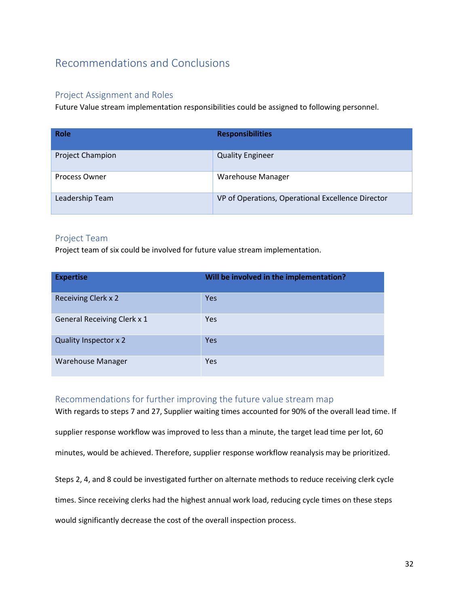## Recommendations and Conclusions

## <span id="page-39-0"></span>Project Assignment and Roles

Future Value stream implementation responsibilities could be assigned to following personnel.

| <b>Role</b>             | <b>Responsibilities</b>                           |
|-------------------------|---------------------------------------------------|
| <b>Project Champion</b> | <b>Quality Engineer</b>                           |
| <b>Process Owner</b>    | Warehouse Manager                                 |
| Leadership Team         | VP of Operations, Operational Excellence Director |

## <span id="page-39-1"></span>Project Team

Project team of six could be involved for future value stream implementation.

| <b>Expertise</b>                   | Will be involved in the implementation? |
|------------------------------------|-----------------------------------------|
| Receiving Clerk x 2                | <b>Yes</b>                              |
| <b>General Receiving Clerk x 1</b> | <b>Yes</b>                              |
| Quality Inspector x 2              | <b>Yes</b>                              |
| <b>Warehouse Manager</b>           | <b>Yes</b>                              |

## <span id="page-39-2"></span>Recommendations for further improving the future value stream map

With regards to steps 7 and 27, Supplier waiting times accounted for 90% of the overall lead time. If supplier response workflow was improved to less than a minute, the target lead time per lot, 60 minutes, would be achieved. Therefore, supplier response workflow reanalysis may be prioritized. Steps 2, 4, and 8 could be investigated further on alternate methods to reduce receiving clerk cycle

times. Since receiving clerks had the highest annual work load, reducing cycle times on these steps

would significantly decrease the cost of the overall inspection process.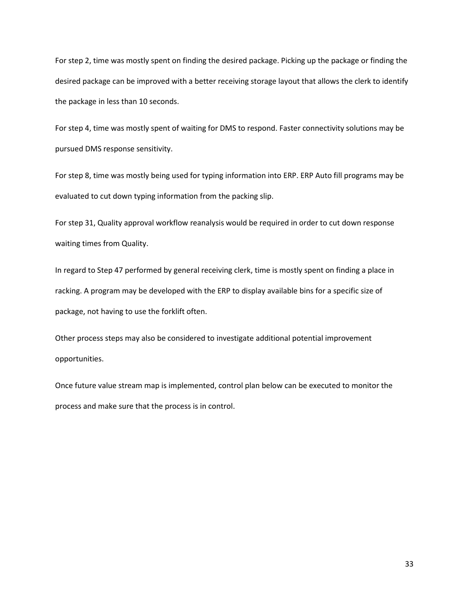For step 2, time was mostly spent on finding the desired package. Picking up the package or finding the desired package can be improved with a better receiving storage layout that allows the clerk to identify the package in less than 10 seconds.

For step 4, time was mostly spent of waiting for DMS to respond. Faster connectivity solutions may be pursued DMS response sensitivity.

For step 8, time was mostly being used for typing information into ERP. ERP Auto fill programs may be evaluated to cut down typing information from the packing slip.

For step 31, Quality approval workflow reanalysis would be required in order to cut down response waiting times from Quality.

In regard to Step 47 performed by general receiving clerk, time is mostly spent on finding a place in racking. A program may be developed with the ERP to display available bins for a specific size of package, not having to use the forklift often.

Other process steps may also be considered to investigate additional potential improvement opportunities.

Once future value stream map is implemented, control plan below can be executed to monitor the process and make sure that the process is in control.

33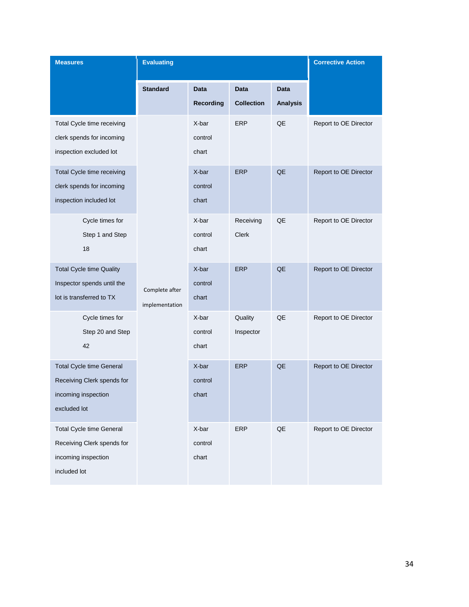| <b>Measures</b>                                                                                                                                                          | <b>Evaluating</b>                |                                                        |                                  | <b>Corrective Action</b>                                                                                                                        |                                                |
|--------------------------------------------------------------------------------------------------------------------------------------------------------------------------|----------------------------------|--------------------------------------------------------|----------------------------------|-------------------------------------------------------------------------------------------------------------------------------------------------|------------------------------------------------|
|                                                                                                                                                                          | <b>Standard</b>                  | <b>Data</b><br><b>Recording</b>                        | <b>Data</b><br><b>Collection</b> | <b>Data</b><br><b>Analysis</b>                                                                                                                  |                                                |
| Total Cycle time receiving<br>clerk spends for incoming<br>inspection excluded lot<br>Total Cycle time receiving<br>clerk spends for incoming<br>inspection included lot | Complete after<br>implementation | X-bar<br>control<br>chart<br>X-bar<br>control<br>chart | <b>ERP</b><br><b>ERP</b>         | QE<br>QE                                                                                                                                        | Report to OE Director<br>Report to OE Director |
| Cycle times for<br>Step 1 and Step<br>18                                                                                                                                 |                                  | X-bar<br>control<br>chart                              | Receiving<br><b>Clerk</b>        | QE                                                                                                                                              | Report to OE Director                          |
| <b>Total Cycle time Quality</b><br>Inspector spends until the<br>lot is transferred to TX                                                                                |                                  | X-bar<br>control<br>chart                              | <b>ERP</b>                       | QE                                                                                                                                              | Report to OE Director                          |
| Cycle times for<br>Step 20 and Step<br>42                                                                                                                                |                                  | X-bar<br>control<br>chart                              | Quality<br>Inspector             | QE                                                                                                                                              | Report to OE Director                          |
| Total Cycle time General<br>Receiving Clerk spends for<br>incoming inspection<br>excluded lot                                                                            |                                  | X-bar<br>control<br>chart                              | <b>ERP</b>                       | QE                                                                                                                                              | Report to OE Director                          |
| <b>Total Cycle time General</b><br>Receiving Clerk spends for<br>incoming inspection<br>included lot                                                                     |                                  | X-bar<br>control<br>chart                              | <b>ERP</b>                       | $\mathsf{QE}% _{T}=\mathsf{KL}_{T}\!\left( a,b\right) ,\ \mathsf{KL}_{T}=\mathsf{KL}_{T}\!\left( a,b\right) ,\ \mathsf{KL}_{T}=\mathsf{KL}_{T}$ | Report to OE Director                          |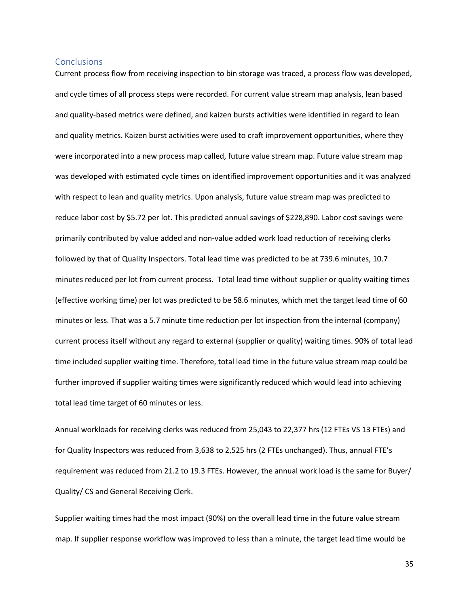### <span id="page-42-0"></span>**Conclusions**

Current process flow from receiving inspection to bin storage was traced, a process flow was developed, and cycle times of all process steps were recorded. For current value stream map analysis, lean based and quality-based metrics were defined, and kaizen bursts activities were identified in regard to lean and quality metrics. Kaizen burst activities were used to craft improvement opportunities, where they were incorporated into a new process map called, future value stream map. Future value stream map was developed with estimated cycle times on identified improvement opportunities and it was analyzed with respect to lean and quality metrics. Upon analysis, future value stream map was predicted to reduce labor cost by \$5.72 per lot. This predicted annual savings of \$228,890. Labor cost savings were primarily contributed by value added and non-value added work load reduction of receiving clerks followed by that of Quality Inspectors. Total lead time was predicted to be at 739.6 minutes, 10.7 minutes reduced per lot from current process. Total lead time without supplier or quality waiting times (effective working time) per lot was predicted to be 58.6 minutes, which met the target lead time of 60 minutes or less. That was a 5.7 minute time reduction per lot inspection from the internal (company) current process itself without any regard to external (supplier or quality) waiting times. 90% of total lead time included supplier waiting time. Therefore, total lead time in the future value stream map could be further improved if supplier waiting times were significantly reduced which would lead into achieving total lead time target of 60 minutes or less.

Annual workloads for receiving clerks was reduced from 25,043 to 22,377 hrs (12 FTEs VS 13 FTEs) and for Quality Inspectors was reduced from 3,638 to 2,525 hrs (2 FTEs unchanged). Thus, annual FTE's requirement was reduced from 21.2 to 19.3 FTEs. However, the annual work load is the same for Buyer/ Quality/ CS and General Receiving Clerk.

Supplier waiting times had the most impact (90%) on the overall lead time in the future value stream map. If supplier response workflow was improved to less than a minute, the target lead time would be

35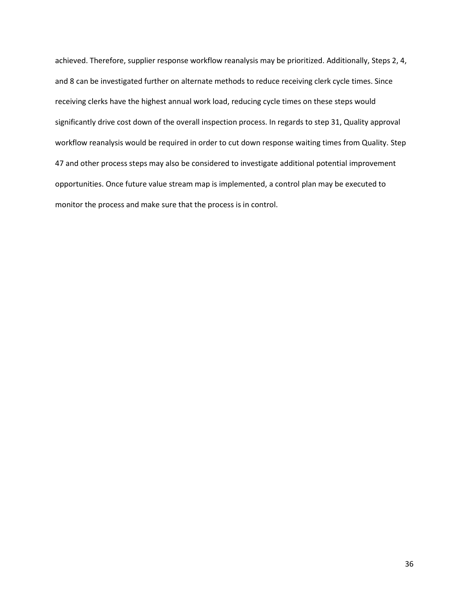achieved. Therefore, supplier response workflow reanalysis may be prioritized. Additionally, Steps 2, 4, and 8 can be investigated further on alternate methods to reduce receiving clerk cycle times. Since receiving clerks have the highest annual work load, reducing cycle times on these steps would significantly drive cost down of the overall inspection process. In regards to step 31, Quality approval workflow reanalysis would be required in order to cut down response waiting times from Quality. Step 47 and other process steps may also be considered to investigate additional potential improvement opportunities. Once future value stream map is implemented, a control plan may be executed to monitor the process and make sure that the process is in control.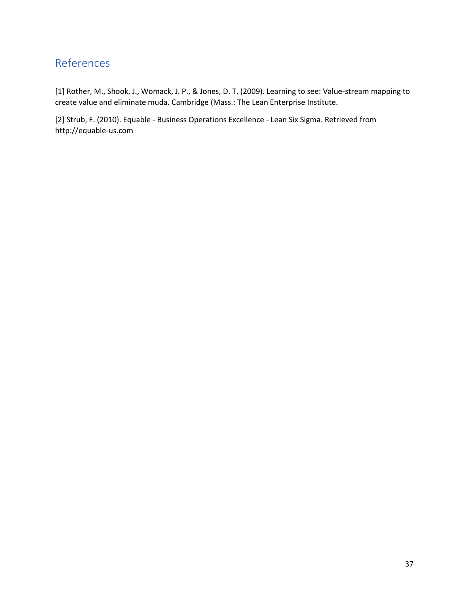## <span id="page-44-0"></span>References

[1] Rother, M., Shook, J., Womack, J. P., & Jones, D. T. (2009). Learning to see: Value-stream mapping to create value and eliminate muda. Cambridge (Mass.: The Lean Enterprise Institute.

[2] Strub, F. (2010). Equable - Business Operations Excellence - Lean Six Sigma. Retrieved from http://equable-us.com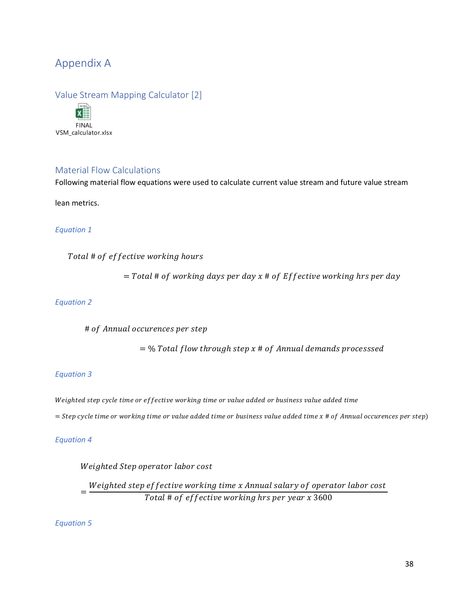## <span id="page-45-0"></span>Appendix A

## <span id="page-45-1"></span>Value Stream Mapping Calculator [2]



## <span id="page-45-2"></span>Material Flow Calculations

Following material flow equations were used to calculate current value stream and future value stream

lean metrics.

#### *Equation 1*

Total # of effective working hours

 $=$  Total # of working days per day  $x$  # of Effective working hrs per day

### *Equation 2*

# of Annual occurences per step

 $=$  % Total flow through step x # of Annual demands processsed

#### *Equation 3*

Weighted step cycle time or effective working time or value added or business value added time

= Step cycle time or working time or value added time or business value added time  $x \#$  of Annual occurences per step)

#### *Equation 4*

## Weighted Step operator labor cost

= Weighted step ef fective working time x Annual salary of operator labor cost Total # of effective working hrs per year  $x$  3600

## *Equation 5*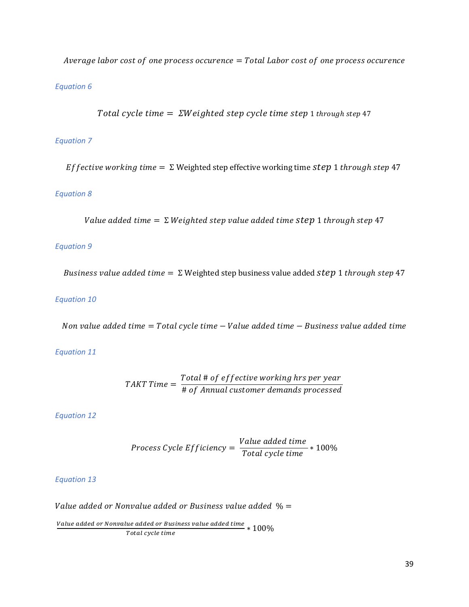Average labor cost of one process occurence  $=$  Total Labor cost of one process occurence

## *Equation 6*

Total cycle time =  $\sum Weighted$  step cycle time step 1 through step 47

## *Equation 7*

Effective working time =  $\Sigma$  Weighted step effective working time step 1 through step 47

## *Equation 8*

```
Value added time = \Sigma Weighted step value added time step 1 through step 47
```
### *Equation 9*

Business value added time =  $\Sigma$  Weighted step business value added step 1 through step 47

### *Equation 10*

Non value added time =  $Total cycle$  time  $-$  Value added time  $-$  Business value added time

## *Equation 11*

$$
TAKT Time = \frac{Total \# of effective working hrs per year}{\# of Annual customer demands processed}
$$

### *Equation 12*

$$
Process Cycle Efficiency = \frac{Value added time}{Total cycle time} * 100\%
$$

#### *Equation 13*

Value added or Nonvalue added or Business value added  $\%$  =

Value added or Nonvalue added or Business value added time  $_{*}$   $_{*}$   $_{100\%}$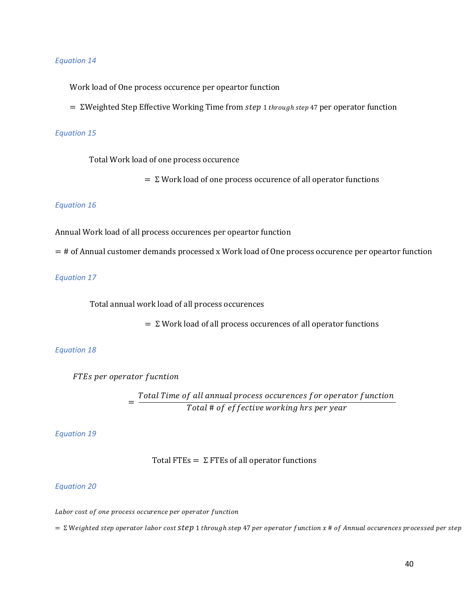#### *Equation 14*

Work load of One process occurence per opeartor function

 $= \Sigma$ Weighted Step Effective Working Time from step 1 through step 47 per operator function

#### *Equation 15*

Total Work load of one process occurence

 $= \Sigma$  Work load of one process occurence of all operator functions

### *Equation 16*

Annual Work load of all process occurences per opeartor function

 $=$  # of Annual customer demands processed x Work load of One process occurence per opeartor function

### *Equation 17*

Total annual work load of all process occurences

 $= \Sigma$  Work load of all process occurences of all operator functions

### *Equation 18*

FTEs per operator fucntion

= Total Time of all annual process occurences for operator function Total # of effective working hrs per year

### *Equation 19*

Total FTEs =  $\Sigma$  FTEs of all operator functions

#### *Equation 20*

Labor cost of one process occurence per operator function

 $= \Sigma$  Weighted step operator labor cost Step 1 through step 47 per operator function x # of Annual occurences processed per step